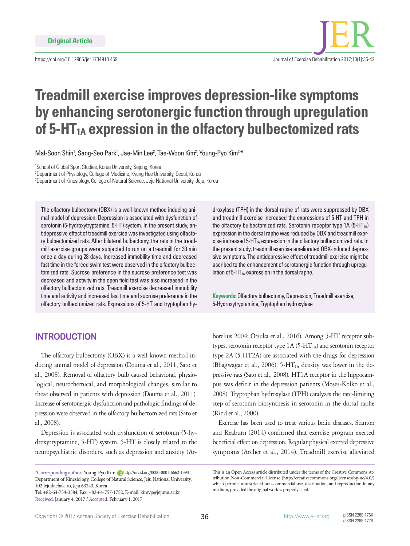

# **Treadmill exercise improves depression-like symptoms by enhancing serotonergic function through upregulation**  of 5-HT<sub>1A</sub> expression in the olfactory bulbectomized rats

Mal-Soon Shin<sup>1</sup>, Sang-Seo Park<sup>1</sup>, Jae-Min Lee<sup>2</sup>, Tae-Woon Kim<sup>2</sup>, Young-Pyo Kim<sup>3,\*</sup>

1 School of Global Sport Studies, Korea University, Sejong, Korea 2 Department of Physiology, College of Medicine, Kyung Hee University, Seoul, Korea <sup>3</sup>Department of Kinesiology, College of Natural Science, Jeju National University, Jeju, Korea

The olfactory bulbectomy (OBX) is a well-known method inducing animal model of depression. Depression is associated with dysfunction of serotonin (5-hydroxytryptamine, 5-HT) system. In the present study, antidepressive effect of treadmill exercise was investigated using olfactory bulbectomized rats. After bilateral bulbectomy, the rats in the treadmill exercise groups were subjected to run on a treadmill for 30 min once a day during 28 days. Increased immobility time and decreased fast time in the forced swim test were observed in the olfactory bulbectomized rats. Sucrose preference in the sucrose preference test was decreased and activity in the open field test was also increased in the olfactory bulbectomized rats. Treadmill exercise decreased immobility time and activity and increased fast time and sucrose preference in the olfactory bulbectomized rats. Expressions of 5-HT and tryptophan hy-

## **INTRODUCTION**

The olfactory bulbectomy (OBX) is a well-known method inducing animal model of depression (Douma et al., 2011; Sato et al., 2008). Removal of olfactory bulb caused behavioral, physiological, neurochemical, and morphological changes, similar to those observed in patients with depression (Douma et al., 2011). Increase of serotonergic dysfunction and pathologic findings of depression were observed in the olfactory bulbectomized rats (Sato et al., 2008).

Depression is associated with dysfunction of serotonin (5-hydroxytryptamine, 5-HT) system. 5-HT is closely related to the neuropsychiatric disorders, such as depression and anxiety (Ar-

Tel: +82-64-754-3584, Fax: +82-64-757-1752, E-mail: kimyp@jejunu.ac.kr Received: January 4, 2017 / Accepted: February 1, 2017

droxylase (TPH) in the dorsal raphe of rats were suppressed by OBX and treadmill exercise increased the expressions of 5-HT and TPH in the olfactory bulbectomized rats. Serotonin receptor type  $1A(5-HT<sub>1A</sub>)$ expression in the dorsal raphe was reduced by OBX and treadmill exercise increased  $5-HT<sub>1A</sub>$  expression in the olfactory bulbectomized rats. In the present study, treadmill exercise ameliorated OBX-induced depressive symptoms. The antidepressive effect of treadmill exercise might be ascribed to the enhancement of serotonergic function through upregulation of  $5-HT<sub>1A</sub>$  expression in the dorsal raphe.

**Keywords:** Olfactory bulbectomy, Depression, Treadmill exercise, 5-Hydroxytryptamine, Tryptophan hydroxylase

borelius 2004; Otsuka et al., 2016). Among 5-HT receptor subtypes, serotonin receptor type  $1A (5 - HT<sub>1A</sub>)$  and serotonin receptor type 2A (5-HT2A) are associated with the drugs for depression (Bhagwagar et al., 2006). 5-HT $_{1A}$  density was lower in the depressive rats (Sato et al., 2008). HT1A receptor in the hippocampus was deficit in the depression patients (Moses-Kolko et al., 2008). Tryptophan hydroxylase (TPH) catalyzes the rate-limiting step of serotonin biosynthesis in serotonin in the dorsal raphe (Rind et al., 2000).

Exercise has been used to treat various brain diseases. Stanton and Reaburn (2014) confirmed that exercise program exerted beneficial effect on depression. Regular physical exerted depressive symptoms (Archer et al., 2014). Treadmill exercise alleviated

<sup>\*</sup>Corresponding author: Young-Pyo Kim http://orcid.org/0000-0001-6662-1393 Department of Kinesiology, College of Natural Science, Jeju National University, 102 Jejudaehak-ro, Jeju 63243, Korea

This is an Open Access article distributed under the terms of the Creative Commons Attribution Non-Commercial License (http://creativecommons.org/licenses/by-nc/4.0/) which permits unrestricted non-commercial use, distribution, and reproduction in any medium, provided the original work is properly cited.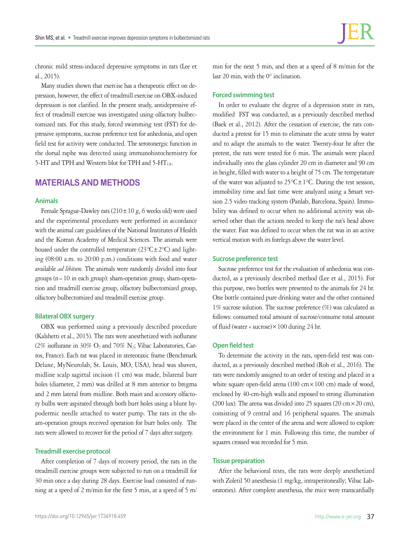chronic mild stress-induced depressive symptoms in rats (Lee et al., 2015).

Many studies shown that exercise has a therapeutic effect on depression, however, the effect of treadmill exercise on OBX-induced depression is not clarified. In the present study, antidepressive effect of treadmill exercise was investigated using olfactory bulbectomized rats. For this study, forced swimming test (FST) for depressive symptoms, sucrose preference test for anhedonia, and open field test for activity were conducted. The serotonergic function in the dorsal raphe was detected using immunohistochemistry for 5-HT and TPH and Western blot for TPH and 5-HT<sub>1A</sub>.

# **MATERIALS AND METHODS**

#### **Animals**

Female Sprague-Dawley rats  $(210 \pm 10 \text{ g}, 6 \text{ weeks old})$  were used and the experimental procedures were performed in accordance with the animal care guidelines of the National Institutes of Health and the Korean Academy of Medical Sciences. The animals were housed under the controlled temperature  $(23^{\circ}C \pm 2^{\circ}C)$  and lighting (08:00 a.m. to 20:00 p.m.) conditions with food and water available *ad libitum*. The animals were randomly divided into four groups ( $n=10$  in each group): sham-operation group, sham-operation and treadmill exercise group, olfactory bulbectomized group, olfactory bulbectomized and treadmill exercise group.

#### **Bilateral OBX surgery**

OBX was performed using a previously described procedure (Kalshetti et al., 2015). The rats were anesthetized with isoflurane (2% isoflurane in 30%  $O_2$  and 70%  $N_2$ ; Vibac Laboratories, Carros, France). Each rat was placed in stereotaxic frame (Benchmark Deluxe, MyNeurolab, St. Louis, MO, USA), head was shaven, midline scalp sagittal incision (1 cm) was made, bilateral burr holes (diameter, 2 mm) was drilled at 8 mm anterior to bregma and 2 mm lateral from midline. Both main and accessory olfactory bulbs were aspirated through both burr holes using a blunt hypodermic needle attached to water pump. The rats in the sham-operation groups received operation for burr holes only. The rats were allowed to recover for the period of 7 days after surgery.

#### **Treadmill exercise protocol**

After completion of 7 days of recovery period, the rats in the treadmill exercise groups were subjected to run on a treadmill for 30 min once a day during 28 days. Exercise load consisted of running at a speed of 2 m/min for the first 5 min, at a speed of 5 m/

min for the next 5 min, and then at a speed of 8 m/min for the last 20 min, with the 0° inclination.

#### **Forced swimming test**

In order to evaluate the degree of a depression state in rats, modified FST was conducted, as a previously described method (Baek et al., 2012). After the cessation of exercise, the rats conducted a pretest for 15 min to eliminate the acute stress by water and to adapt the animals to the water. Twenty-four hr after the pretest, the rats were tested for 6 min. The animals were placed individually into the glass cylinder 20 cm in diameter and 90 cm in height, filled with water to a height of 75 cm. The temperature of the water was adjusted to  $25^{\circ}C \pm 1^{\circ}C$ . During the test session, immobility time and fast time were analyzed using a Smart version 2.5 video tracking system (Panlab, Barcelona, Spain). Immobility was defined to occur when no additional activity was observed other than the actions needed to keep the rat's head above the water. Fast was defined to occur when the rat was in an active vertical motion with its forelegs above the water level.

#### **Sucrose preference test**

Sucrose preference test for the evaluation of anhedonia was conducted, as a previously described method (Lee et al., 2015). For this purpose, two bottles were presented to the animals for 24 hr. One bottle contained pure drinking water and the other contained 1% sucrose solution. The sucrose preference (%) was calculated as follows: consumed total amount of sucrose/consume total amount of fluid (water + sucrose) $\times$  100 during 24 hr.

#### **Open field test**

To determine the activity in the rats, open-field test was conducted, as a previously described method (Roh et al., 2016). The rats were randomly assigned to an order of testing and placed in a white square open-field arena (100 cm $\times$ 100 cm) made of wood, enclosed by 40-cm-high walls and exposed to strong illumination (200 lux). The arena was divided into 25 squares (20 cm $\times$  20 cm), consisting of 9 central and 16 peripheral squares. The animals were placed in the center of the arena and were allowed to explore the environment for 1 min. Following this time, the number of squares crossed was recorded for 5 min.

#### **Tissue preparation**

After the behavioral tests, the rats were deeply anesthetized with Zoletil 50 anesthesia (1 mg/kg, intraperitoneally; Vibac Laboratories). After complete anesthesia, the mice were transcardially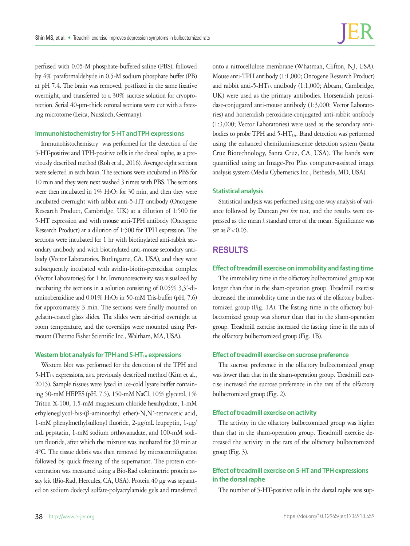perfused with 0.05-M phosphate-buffered saline (PBS), followed by 4% paraformaldehyde in 0.5-M sodium phosphate buffer (PB) at pH 7.4. The brain was removed, postfixed in the same fixative overnight, and transferred to a 30% sucrose solution for cryoprotection. Serial 40-μm-thick coronal sections were cut with a freezing microtome (Leica, Nussloch, Germany).

#### **Immunohistochemistry for 5-HT and TPH expressions**

Immunohistochemistry was performed for the detection of the 5-HT-positive and TPH-positive cells in the dorsal raphe, as a previously described method (Roh et al., 2016). Average eight sections were selected in each brain. The sections were incubated in PBS for 10 min and they were next washed 3 times with PBS. The sections were then incubated in  $1\%$  H<sub>2</sub>O<sub>2</sub> for 30 min, and then they were incubated overnight with rabbit anti-5-HT antibody (Oncogene Research Product, Cambridge, UK) at a dilution of 1:500 for 5-HT expression and with mouse anti-TPH antibody (Oncogene Research Product) at a dilution of 1:500 for TPH expression. The sections were incubated for 1 hr with biotinylated anti-rabbit secondary antibody and with biotinylated anti-mouse secondary antibody (Vector Laboratories, Burlingame, CA, USA), and they were subsequently incubated with avidin-biotin-peroxidase complex (Vector Laboratories) for 1 hr. Immunoreactivity was visualized by incubating the sections in a solution consisting of 0.05% 3,3´-diaminobenzidine and  $0.01\%$  H<sub>2</sub>O<sub>2</sub> in 50-mM Tris-buffer (pH, 7.6) for approximately 3 min. The sections were finally mounted on gelatin-coated glass slides. The slides were air-dried overnight at room temperature, and the coverslips were mounted using Permount (Thermo Fisher Scientific Inc., Waltham, MA, USA).

#### Western blot analysis for TPH and 5-HT<sub>1A</sub> expressions

Western blot was performed for the detection of the TPH and  $5-HT<sub>1A</sub>$  expressions, as a previously described method (Kim et al., 2015). Sample tissues were lysed in ice-cold lysate buffer containing 50-mM HEPES (pH, 7.5), 150-mM NaCl, 10% glycerol, 1% Triton X-100, 1.5-mM magnesium chloride hexahydrate, 1-mM ethyleneglycol-bis-(β-aminoethyl ether)-N,N´-tetraacetic acid, 1-mM phenylmethylsulfonyl fluoride, 2-μg/mL leupeptin, 1-μg/ mL pepstatin, 1-mM sodium orthovanadate, and 100-mM sodium fluoride, after which the mixture was incubated for 30 min at 4°C. The tissue debris was then removed by microcentrifugation followed by quick freezing of the supernatant. The protein concentration was measured using a Bio-Rad colorimetric protein assay kit (Bio-Rad, Hercules, CA, USA). Protein 40 μg was separated on sodium dodecyl sulfate-polyacrylamide gels and transferred

onto a nitrocellulose membrane (Whatman, Clifton, NJ, USA). Mouse anti-TPH antibody (1:1,000; Oncogene Research Product) and rabbit anti-5-HT<sub>1A</sub> antibody (1:1,000; Abcam, Cambridge, UK) were used as the primary antibodies. Horseradish peroxidase-conjugated anti-mouse antibody (1:3,000; Vector Laboratories) and horseradish peroxidase-conjugated anti-rabbit antibody (1:3,000; Vector Laboratories) were used as the secondary antibodies to probe TPH and 5-HT<sub>1A</sub>. Band detection was performed using the enhanced chemiluminescence detection system (Santa Cruz Biotechnology, Santa Cruz, CA, USA). The bands were quantified using an Image-Pro Plus computer-assisted image analysis system (Media Cybernetics Inc., Bethesda, MD, USA).

#### **Statistical analysis**

Statistical analysis was performed using one-way analysis of variance followed by Duncan *post hoc* test, and the results were expressed as the mean±standard error of the mean. Significance was set as  $P < 0.05$ .

## **RESULTS**

#### **Effect of treadmill exercise on immobility and fasting time**

The immobility time in the olfactory bulbectomized group was longer than that in the sham-operation group. Treadmill exercise decreased the immobility time in the rats of the olfactory bulbectomized group (Fig. 1A). The fasting time in the olfactory bulbectomized group was shorter than that in the sham-operation group. Treadmill exercise increased the fasting time in the rats of the olfactory bulbectomized group (Fig. 1B).

#### **Effect of treadmill exercise on sucrose preference**

The sucrose preference in the olfactory bulbectomized group was lower than that in the sham-operation group. Treadmill exercise increased the sucrose preference in the rats of the olfactory bulbectomized group (Fig. 2).

#### **Effect of treadmill exercise on activity**

The activity in the olfactory bulbectomized group was higher than that in the sham-operation group. Treadmill exercise decreased the activity in the rats of the olfactory bulbectomized group (Fig. 3).

## **Effect of treadmill exercise on 5-HT and TPH expressions in the dorsal raphe**

The number of 5-HT-positive cells in the dorsal raphe was sup-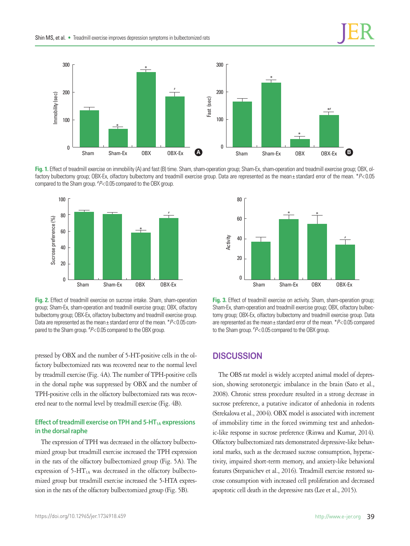

**Fig. 1.** Effect of treadmill exercise on immobility (A) and fast (B) time. Sham, sham-operation group; Sham-Ex, sham-operation and treadmill exercise group; OBX, olfactory bulbectomy group; OBX-Ex, olfactory bulbectomy and treadmill exercise group. Data are represented as the mean± standard error of the mean. \**P*<0.05 compared to the Sham group. # *P*< 0.05 compared to the OBX group.



**Fig. 2.** Effect of treadmill exercise on sucrose intake. Sham, sham-operation group; Sham-Ex, sham-operation and treadmill exercise group; OBX, olfactory bulbectomy group; OBX-Ex, olfactory bulbectomy and treadmill exercise group. Data are represented as the mean± standard error of the mean. \**P*< 0.05 compared to the Sham group. # *P*< 0.05 compared to the OBX group.

pressed by OBX and the number of 5-HT-positive cells in the olfactory bulbectomized rats was recovered near to the normal level by treadmill exercise (Fig. 4A). The number of TPH-positive cells in the dorsal raphe was suppressed by OBX and the number of TPH-positive cells in the olfactory bulbectomized rats was recovered near to the normal level by treadmill exercise (Fig. 4B).

### **Effect of treadmill exercise on TPH and 5-HT<sub>1A</sub> expressions in the dorsal raphe**

The expression of TPH was decreased in the olfactory bulbectomized group but treadmill exercise increased the TPH expression in the rats of the olfactory bulbectomized group (Fig. 5A). The expression of 5-HT1A was decreased in the olfactory bulbectomized group but treadmill exercise increased the 5-HTA expression in the rats of the olfactory bulbectomized group (Fig. 5B).



**Fig. 3.** Effect of treadmill exercise on activity. Sham, sham-operation group; Sham-Ex, sham-operation and treadmill exercise group; OBX, olfactory bulbectomy group; OBX-Ex, olfactory bulbectomy and treadmill exercise group. Data are represented as the mean± standard error of the mean. \**P*< 0.05 compared to the Sham group. # *P*< 0.05 compared to the OBX group.

# **DISCUSSION**

The OBS rat model is widely accepted animal model of depression, showing serotonergic imbalance in the brain (Sato et al., 2008). Chronic stress procedure resulted in a strong decrease in sucrose preference, a putative indicator of anhedonia in rodents (Strekalova et al., 2004). OBX model is associated with increment of immobility time in the forced swimming test and anhedonic-like response in sucrose preference (Rinwa and Kumar, 2014). Olfactory bulbectomized rats demonstrated depressive-like behavioral marks, such as the decreased sucrose consumption, hyperactivity, impaired short-term memory, and anxiety-like behavioral features (Stepanichev et al., 2016). Treadmill exercise restored sucrose consumption with increased cell proliferation and decreased apoptotic cell death in the depressive rats (Lee et al., 2015).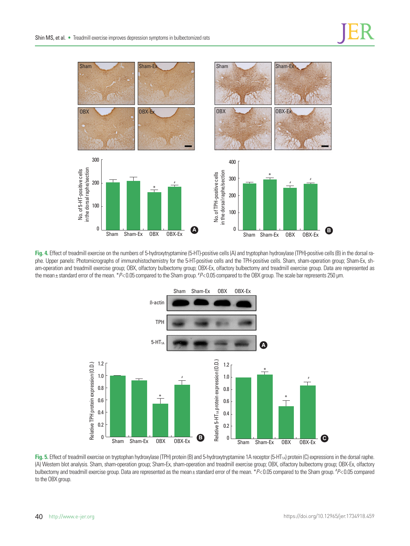

**Fig. 4.** Effect of treadmill exercise on the numbers of 5-hydroxytryptamine (5-HT)-positive cells (A) and tryptophan hydroxylase (TPH)-positive cells (B) in the dorsal raphe. Upper panels: Photomicrographs of immunohistochemistry for the 5-HT-positive cells and the TPH-positive cells. Sham, sham-operation group; Sham-Ex, sham-operation and treadmill exercise group; OBX, olfactory bulbectomy group; OBX-Ex, olfactory bulbectomy and treadmill exercise group. Data are represented as the mean±standard error of the mean. \*P<0.05 compared to the Sham group. \*P<0.05 compared to the OBX group. The scale bar represents 250 μm.



Fig. 5. Effect of treadmill exercise on tryptophan hydroxylase (TPH) protein (B) and 5-hydroxytryptamine 1A receptor (5-HT<sub>1A</sub>) protein (C) expressions in the dorsal raphe. (A) Western blot analysis. Sham, sham-operation group; Sham-Ex, sham-operation and treadmill exercise group; OBX, olfactory bulbectomy group; OBX-Ex, olfactory bulbectomy and treadmill exercise group. Data are represented as the mean± standard error of the mean. \**P*< 0.05 compared to the Sham group. # *P*< 0.05 compared to the OBX group.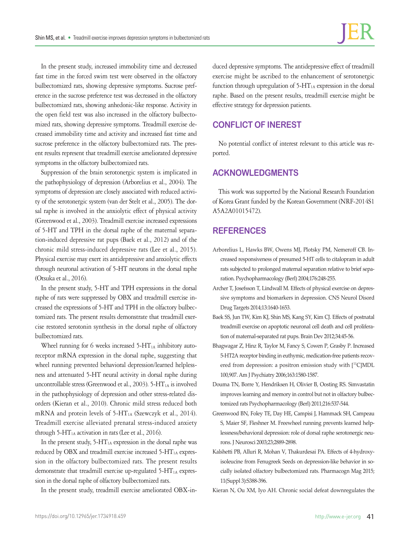In the present study, increased immobility time and decreased fast time in the forced swim test were observed in the olfactory bulbectomized rats, showing depressive symptoms. Sucrose preference in the sucrose preference test was decreased in the olfactory bulbectomized rats, showing anhedonic-like response. Activity in the open field test was also increased in the olfactory bulbectomized rats, showing depressive symptoms. Treadmill exercise decreased immobility time and activity and increased fast time and sucrose preference in the olfactory bulbectomized rats. The present results represent that treadmill exercise ameliorated depressive symptoms in the olfactory bulbectomized rats.

Suppression of the brain serotonergic system is implicated in the pathophysiology of depression (Arborelius et al., 2004). The symptoms of depression are closely associated with reduced activity of the serotonergic system (van der Stelt et al., 2005). The dorsal raphe is involved in the anxiolytic effect of physical activity (Greenwood et al., 2003). Treadmill exercise increased expressions of 5-HT and TPH in the dorsal raphe of the maternal separation-induced depressive rat pups (Baek et al., 2012) and of the chronic mild stress-induced depressive rats (Lee et al., 2015). Physical exercise may exert its antidepressive and anxiolytic effects through neuronal activation of 5-HT neurons in the dorsal raphe (Otsuka et al., 2016).

In the present study, 5-HT and TPH expressions in the dorsal raphe of rats were suppressed by OBX and treadmill exercise increased the expressions of 5-HT and TPH in the olfactory bulbectomized rats. The present results demonstrate that treadmill exercise restored serotonin synthesis in the dorsal raphe of olfactory bulbectomized rats.

Wheel running for 6 weeks increased  $5-HT<sub>1A</sub>$  inhibitory autoreceptor mRNA expression in the dorsal raphe, suggesting that wheel running prevented behavioral depression/learned helplessness and attenuated 5-HT neural activity in dorsal raphe during uncontrollable stress (Greenwood et al., 2003). 5-HT<sub>1A</sub> is involved in the pathophysiology of depression and other stress-related disorders (Kieran et al., 2010). Chronic mild stress reduced both mRNA and protein levels of 5-HT<sub>1A</sub> (Szewczyk et al., 2014). Treadmill exercise alleviated prenatal stress-induced anxiety through  $5-HT<sub>1A</sub>$  activation in rats (Lee et al., 2016).

In the present study, 5-HT<sub>1A</sub> expression in the dorsal raphe was reduced by OBX and treadmill exercise increased  $5-HT<sub>1A</sub>$  expression in the olfactory bulbectomized rats. The present results demonstrate that treadmill exercise up-regulated 5-HT<sub>1A</sub> expression in the dorsal raphe of olfactory bulbectomized rats.

In the present study, treadmill exercise ameliorated OBX-in-

duced depressive symptoms. The antidepressive effect of treadmill exercise might be ascribed to the enhancement of serotonergic function through upregulation of  $5-HT<sub>1A</sub>$  expression in the dorsal raphe. Based on the present results, treadmill exercise might be effective strategy for depression patients.

# **CONFLICT OF INEREST**

No potential conflict of interest relevant to this article was reported.

## **ACKNOWLEDGMENTS**

This work was supported by the National Research Foundation of Korea Grant funded by the Korean Government (NRF-2014S1 A5A2A01015472).

## **REFERENCES**

- Arborelius L, Hawks BW, Owens MJ, Plotsky PM, Nemeroff CB. Increased responsiveness of presumed 5-HT cells to citalopram in adult rats subjected to prolonged maternal separation relative to brief separation. Psychopharmacology (Berl) 2004;176:248-255.
- Archer T, Josefsson T, Lindwall M. Effects of physical exercise on depressive symptoms and biomarkers in depression. CNS Neurol Disord Drug Targets 2014;13:1640-1653.
- Baek SS, Jun TW, Kim KJ, Shin MS, Kang SY, Kim CJ. Effects of postnatal treadmill exercise on apoptotic neuronal cell death and cell proliferation of maternal-separated rat pups. Brain Dev 2012;34:45-56.
- Bhagwagar Z, Hinz R, Taylor M, Fancy S, Cowen P, Grasby P. Increased 5-HT2A receptor binding in euthymic, medication-free patients recovered from depression: a positron emission study with  $[^{11}C]MDL$ 100,907. Am J Psychiatry 2006;163:1580-1587.
- Douma TN, Borre Y, Hendriksen H, Olivier B, Oosting RS. Simvastatin improves learning and memory in control but not in olfactory bulbectomized rats Psychopharmacology (Berl) 2011;216:537-544.
- Greenwood BN, Foley TE, Day HE, Campisi J, Hammack SH, Campeau S, Maier SF, Fleshner M. Freewheel running prevents learned helplessness/behavioral depression: role of dorsal raphe serotonergic neurons. J Neurosci 2003;23;2889-2898.
- Kalshetti PB, Alluri R, Mohan V, Thakurdesai PA. Effects of 4-hydroxyisoleucine from Fenugreek Seeds on depression-like behavior in socially isolated olfactory bulbectomized rats. Pharmacogn Mag 2015; 11(Suppl 3):S388-396.

Kieran N, Ou XM, Iyo AH. Chronic social defeat downregulates the